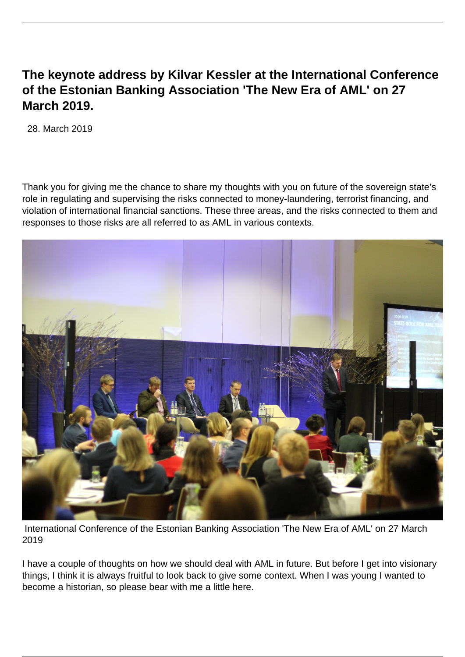## **The keynote address by Kilvar Kessler at the International Conference of the Estonian Banking Association 'The New Era of AML' on 27 March 2019.**

28. March 2019

Thank you for giving me the chance to share my thoughts with you on future of the sovereign state's role in regulating and supervising the risks connected to money-laundering, terrorist financing, and violation of international financial sanctions. These three areas, and the risks connected to them and responses to those risks are all referred to as AML in various contexts.



 International Conference of the Estonian Banking Association 'The New Era of AML' on 27 March 2019

I have a couple of thoughts on how we should deal with AML in future. But before I get into visionary things, I think it is always fruitful to look back to give some context. When I was young I wanted to become a historian, so please bear with me a little here.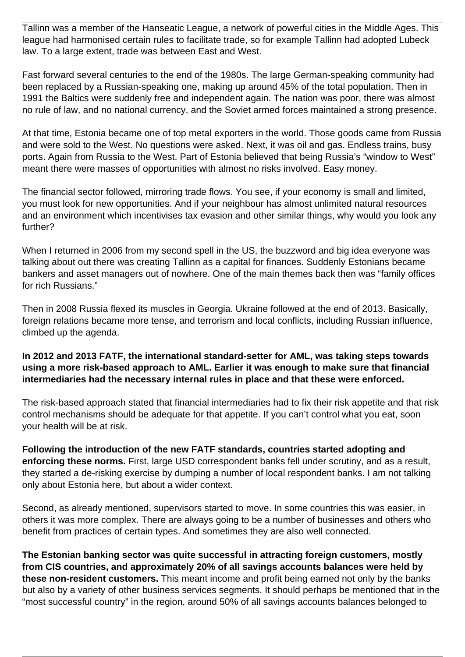Tallinn was a member of the Hanseatic League, a network of powerful cities in the Middle Ages. This league had harmonised certain rules to facilitate trade, so for example Tallinn had adopted Lubeck law. To a large extent, trade was between East and West.

Fast forward several centuries to the end of the 1980s. The large German-speaking community had been replaced by a Russian-speaking one, making up around 45% of the total population. Then in 1991 the Baltics were suddenly free and independent again. The nation was poor, there was almost no rule of law, and no national currency, and the Soviet armed forces maintained a strong presence.

At that time, Estonia became one of top metal exporters in the world. Those goods came from Russia and were sold to the West. No questions were asked. Next, it was oil and gas. Endless trains, busy ports. Again from Russia to the West. Part of Estonia believed that being Russia's "window to West" meant there were masses of opportunities with almost no risks involved. Easy money.

The financial sector followed, mirroring trade flows. You see, if your economy is small and limited, you must look for new opportunities. And if your neighbour has almost unlimited natural resources and an environment which incentivises tax evasion and other similar things, why would you look any further?

When I returned in 2006 from my second spell in the US, the buzzword and big idea everyone was talking about out there was creating Tallinn as a capital for finances. Suddenly Estonians became bankers and asset managers out of nowhere. One of the main themes back then was "family offices for rich Russians."

Then in 2008 Russia flexed its muscles in Georgia. Ukraine followed at the end of 2013. Basically, foreign relations became more tense, and terrorism and local conflicts, including Russian influence, climbed up the agenda.

## **In 2012 and 2013 FATF, the international standard-setter for AML, was taking steps towards using a more risk-based approach to AML. Earlier it was enough to make sure that financial intermediaries had the necessary internal rules in place and that these were enforced.**

The risk-based approach stated that financial intermediaries had to fix their risk appetite and that risk control mechanisms should be adequate for that appetite. If you can't control what you eat, soon your health will be at risk.

**Following the introduction of the new FATF standards, countries started adopting and enforcing these norms.** First, large USD correspondent banks fell under scrutiny, and as a result, they started a de-risking exercise by dumping a number of local respondent banks. I am not talking only about Estonia here, but about a wider context.

Second, as already mentioned, supervisors started to move. In some countries this was easier, in others it was more complex. There are always going to be a number of businesses and others who benefit from practices of certain types. And sometimes they are also well connected.

**The Estonian banking sector was quite successful in attracting foreign customers, mostly from CIS countries, and approximately 20% of all savings accounts balances were held by these non-resident customers.** This meant income and profit being earned not only by the banks but also by a variety of other business services segments. It should perhaps be mentioned that in the "most successful country" in the region, around 50% of all savings accounts balances belonged to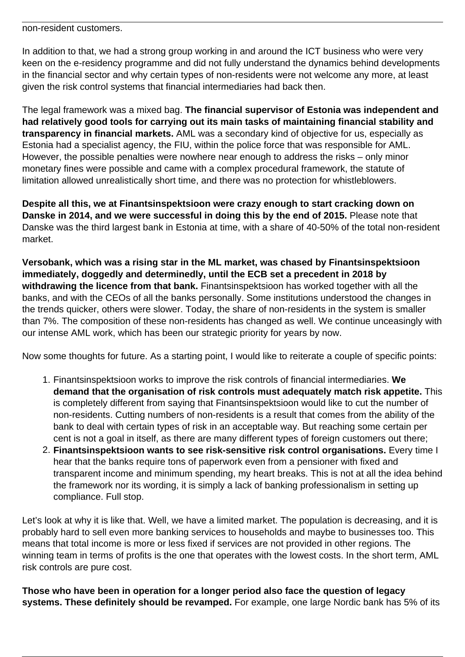non-resident customers.

In addition to that, we had a strong group working in and around the ICT business who were very keen on the e-residency programme and did not fully understand the dynamics behind developments in the financial sector and why certain types of non-residents were not welcome any more, at least given the risk control systems that financial intermediaries had back then.

The legal framework was a mixed bag. **The financial supervisor of Estonia was independent and had relatively good tools for carrying out its main tasks of maintaining financial stability and transparency in financial markets.** AML was a secondary kind of objective for us, especially as Estonia had a specialist agency, the FIU, within the police force that was responsible for AML. However, the possible penalties were nowhere near enough to address the risks – only minor monetary fines were possible and came with a complex procedural framework, the statute of limitation allowed unrealistically short time, and there was no protection for whistleblowers.

**Despite all this, we at Finantsinspektsioon were crazy enough to start cracking down on Danske in 2014, and we were successful in doing this by the end of 2015.** Please note that Danske was the third largest bank in Estonia at time, with a share of 40-50% of the total non-resident market.

**Versobank, which was a rising star in the ML market, was chased by Finantsinspektsioon immediately, doggedly and determinedly, until the ECB set a precedent in 2018 by withdrawing the licence from that bank.** Finantsinspektsioon has worked together with all the banks, and with the CEOs of all the banks personally. Some institutions understood the changes in the trends quicker, others were slower. Today, the share of non-residents in the system is smaller than 7%. The composition of these non-residents has changed as well. We continue unceasingly with our intense AML work, which has been our strategic priority for years by now.

Now some thoughts for future. As a starting point, I would like to reiterate a couple of specific points:

- 1. Finantsinspektsioon works to improve the risk controls of financial intermediaries. **We demand that the organisation of risk controls must adequately match risk appetite.** This is completely different from saying that Finantsinspektsioon would like to cut the number of non-residents. Cutting numbers of non-residents is a result that comes from the ability of the bank to deal with certain types of risk in an acceptable way. But reaching some certain per cent is not a goal in itself, as there are many different types of foreign customers out there;
- 2. **Finantsinspektsioon wants to see risk-sensitive risk control organisations.** Every time I hear that the banks require tons of paperwork even from a pensioner with fixed and transparent income and minimum spending, my heart breaks. This is not at all the idea behind the framework nor its wording, it is simply a lack of banking professionalism in setting up compliance. Full stop.

Let's look at why it is like that. Well, we have a limited market. The population is decreasing, and it is probably hard to sell even more banking services to households and maybe to businesses too. This means that total income is more or less fixed if services are not provided in other regions. The winning team in terms of profits is the one that operates with the lowest costs. In the short term, AML risk controls are pure cost.

**Those who have been in operation for a longer period also face the question of legacy systems. These definitely should be revamped.** For example, one large Nordic bank has 5% of its